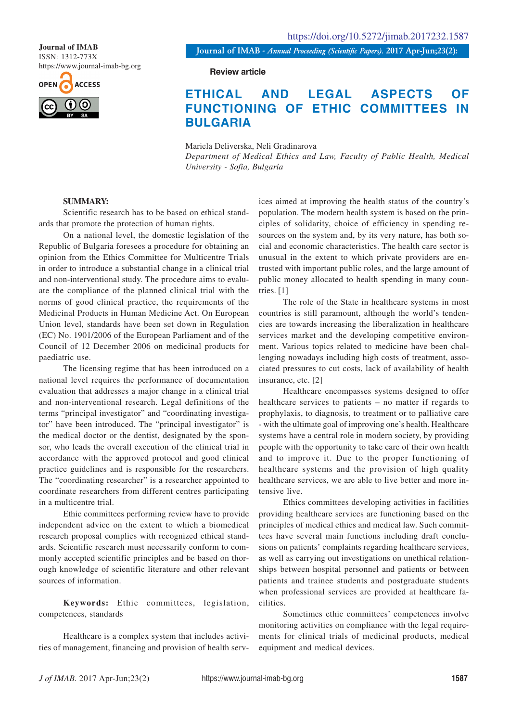ISSN: 1312-773X https://www.journal-imab-bg.org



**Journal of IMAB** *- Annual Proceeding (Scientific Papers).* **2017 Apr-Jun;23(2): Journal of IMAB**

**Review article**

## **ETHICAL AND LEGAL ASPECTS OF FUNCTIONING OF ETHIC COMMITTEES IN BULGARIA**

Mariela Deliverska, Neli Gradinarova *Department of Medical Ethics and Law, Faculty of Public Health, Medical University - Sofia, Bulgaria*

## **SUMMARY:**

Scientific research has to be based on ethical standards that promote the protection of human rights.

On a national level, the domestic legislation of the Republic of Bulgaria foresees a procedure for obtaining an opinion from the Ethics Committee for Multicentre Trials in order to introduce a substantial change in a clinical trial and non-interventional study. The procedure aims to evaluate the compliance of the planned clinical trial with the norms of good clinical practice, the requirements of the Medicinal Products in Human Medicine Act. On European Union level, standards have been set down in Regulation (EC) No. 1901/2006 of the European Parliament and of the Council of 12 December 2006 on medicinal products for paediatric use.

The licensing regime that has been introduced on a national level requires the performance of documentation evaluation that addresses a major change in a clinical trial and non-interventional research. Legal definitions of the terms "principal investigator" and "coordinating investigator" have been introduced. The "principal investigator" is the medical doctor or the dentist, designated by the sponsor, who leads the overall execution of the clinical trial in accordance with the approved protocol and good clinical practice guidelines and is responsible for the researchers. The "coordinating researcher" is a researcher appointed to coordinate researchers from different centres participating in a multicentre trial.

Ethic committees performing review have to provide independent advice on the extent to which a biomedical research proposal complies with recognized ethical standards. Scientific research must necessarily conform to commonly accepted scientific principles and be based on thorough knowledge of scientific literature and other relevant sources of information.

**Keywords:** Ethic committees, legislation, competences, standards

Healthcare is a complex system that includes activities of management, financing and provision of health services aimed at improving the health status of the country's population. The modern health system is based on the principles of solidarity, choice of efficiency in spending resources on the system and, by its very nature, has both social and economic characteristics. The health care sector is unusual in the extent to which private providers are entrusted with important public roles, and the large amount of public money allocated to health spending in many countries. [1]

The role of the State in healthcare systems in most countries is still paramount, although the world's tendencies are towards increasing the liberalization in healthcare services market and the developing competitive environment. Various topics related to medicine have been challenging nowadays including high costs of treatment, associated pressures to cut costs, lack of availability of health insurance, etc. [2]

Healthcare encompasses systems designed to offer healthcare services to patients – no matter if regards to prophylaxis, to diagnosis, to treatment or to palliative care - with the ultimate goal of improving one's health. Healthcare systems have a central role in modern society, by providing people with the opportunity to take care of their own health and to improve it. Due to the proper functioning of healthcare systems and the provision of high quality healthcare services, we are able to live better and more intensive live.

Ethics committees developing activities in facilities providing healthcare services are functioning based on the principles of medical ethics and medical law. Such committees have several main functions including draft conclusions on patients' complaints regarding healthcare services, as well as carrying out investigations on unethical relationships between hospital personnel and patients or between patients and trainee students and postgraduate students when professional services are provided at healthcare facilities.

Sometimes ethic committees' competences involve monitoring activities on compliance with the legal requirements for clinical trials of medicinal products, medical equipment and medical devices.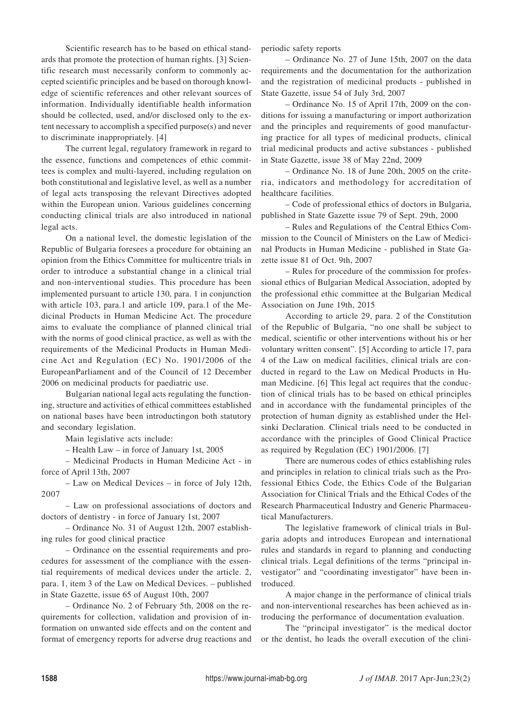Scientific research has to be based on ethical standards that promote the protection of human rights. [3] Scientific research must necessarily conform to commonly accepted scientific principles and be based on thorough knowledge of scientific references and other relevant sources of information. Individually identifiable health information should be collected, used, and/or disclosed only to the extent necessary to accomplish a specified purpose(s) and never to discriminate inappropriately. [4]

The current legal, regulatory framework in regard to the essence, functions and competences of ethic committees is complex and multi-layered, including regulation on both constitutional and legislative level, as well as a number of legal acts transposing the relevant Directives adopted within the European union. Various guidelines concerning conducting clinical trials are also introduced in national legal acts.

On a national level, the domestic legislation of the Republic of Bulgaria foresees a procedure for obtaining an opinion from the Ethics Committee for multicentre trials in order to introduce a substantial change in a clinical trial and non-interventional studies. This procedure has been implemented pursuant to article 130, para. 1 in conjunction with article 103, para.1 and article 109, para.1 of the Medicinal Products in Human Medicine Act. The procedure aims to evaluate the compliance of planned clinical trial with the norms of good clinical practice, as well as with the requirements of the Medicinal Products in Human Medicine Act and Regulation (EC) No. 1901/2006 of the EuropeanParliament and of the Council of 12 December 2006 on medicinal products for paediatric use.

Bulgarian national legal acts regulating the functioning, structure and activities of ethical committees established on national bases have been introductingon both statutory and secondary legislation.

Main legislative acts include:

– Health Law – in force of January 1st, 2005

– Medicinal Products in Human Medicine Act - in force of April 13th, 2007

– Law on Medical Devices – in force of July 12th, 2007

– Law on professional associations of doctors and doctors of dentistry - in force of January 1st, 2007

– Ordinance No. 31 of August 12th, 2007 establishing rules for good clinical practice

– Ordinance on the essential requirements and procedures for assessment of the compliance with the essential requirements of medical devices under the article. 2, para. 1, item 3 of the Law on Medical Devices. – published in State Gazette, issue 65 of August 10th, 2007

– Ordinance No. 2 of February 5th, 2008 on the requirements for collection, validation and provision of information on unwanted side effects and on the content and format of emergency reports for adverse drug reactions and periodic safety reports

– Ordinance No. 27 of June 15th, 2007 on the data requirements and the documentation for the authorization and the registration of medicinal products - published in State Gazette, issue 54 of July 3rd, 2007

– Ordinance No. 15 of April 17th, 2009 on the conditions for issuing a manufacturing or import authorization and the principles and requirements of good manufacturing practice for all types of medicinal products, clinical trial medicinal products and active substances - published in State Gazette, issue 38 of May 22nd, 2009

– Ordinance No. 18 of June 20th, 2005 on the criteria, indicators and methodology for accreditation of healthcare facilities.

– Code of professional ethics of doctors in Bulgaria, published in State Gazette issue 79 of Sept. 29th, 2000

– Rules and Regulations of the Central Ethics Commission to the Council of Ministers on the Law of Medicinal Products in Human Medicine - published in State Gazette issue 81 of Oct. 9th, 2007

– Rules for procedure of the commission for professional ethics of Bulgarian Medical Association, adopted by the professional ethic committee at the Bulgarian Medical Association on June 19th, 2015

According to article 29, para. 2 of the Constitution of the Republic of Bulgaria, "no one shall be subject to medical, scientific or other interventions without his or her voluntary written consent". [5] According to article 17, para 4 of the Law on medical facilities, clinical trials are conducted in regard to the Law on Medical Products in Human Medicine. [6] This legal act requires that the conduction of clinical trials has to be based on ethical principles and in accordance with the fundamental principles of the protection of human dignity as established under the Helsinki Declaration. Clinical trials need to be conducted in accordance with the principles of Good Clinical Practice as required by Regulation (EC) 1901/2006. [7]

There are numerous codes of ethics establishing rules and principles in relation to clinical trials such as the Professional Ethics Code, the Ethics Code of the Bulgarian Association for Clinical Trials and the Ethical Codes of the Research Pharmaceutical Industry and Generic Pharmaceutical Manufacturers.

The legislative framework of clinical trials in Bulgaria adopts and introduces European and international rules and standards in regard to planning and conducting clinical trials. Legal definitions of the terms "principal investigator" and "coordinating investigator" have been introduced.

A major change in the performance of clinical trials and non-interventional researches has been achieved as introducing the performance of documentation evaluation.

The "principal investigator" is the medical doctor or the dentist, ho leads the overall execution of the clini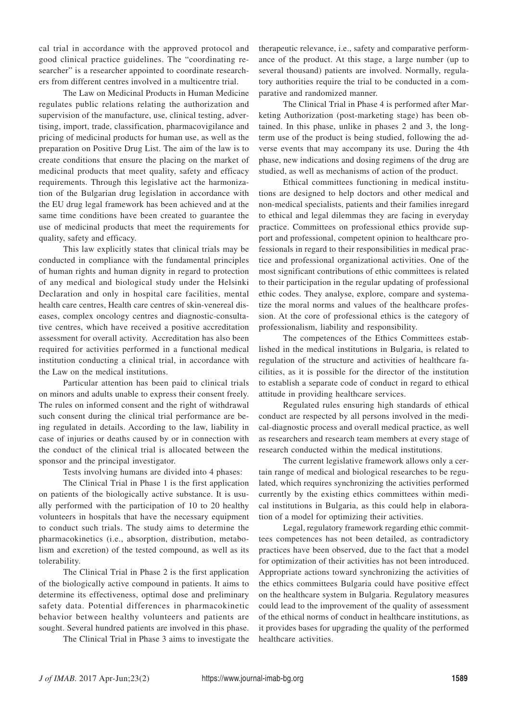cal trial in accordance with the approved protocol and good clinical practice guidelines. The "coordinating researcher" is a researcher appointed to coordinate researchers from different centres involved in a multicentre trial.

The Law on Medicinal Products in Human Medicine regulates public relations relating the authorization and supervision of the manufacture, use, clinical testing, advertising, import, trade, classification, pharmacovigilance and pricing of medicinal products for human use, as well as the preparation on Positive Drug List. The aim of the law is to create conditions that ensure the placing on the market of medicinal products that meet quality, safety and efficacy requirements. Through this legislative act the harmonization of the Bulgarian drug legislation in accordance with the EU drug legal framework has been achieved and at the same time conditions have been created to guarantee the use of medicinal products that meet the requirements for quality, safety and efficacy.

This law explicitly states that clinical trials may be conducted in compliance with the fundamental principles of human rights and human dignity in regard to protection of any medical and biological study under the Helsinki Declaration and only in hospital care facilities, mental health care centres, Health care centres of skin-venereal diseases, complex oncology centres and diagnostic-consultative centres, which have received a positive accreditation assessment for overall activity. Accreditation has also been required for activities performed in a functional medical institution conducting a clinical trial, in accordance with the Law on the medical institutions.

Particular attention has been paid to clinical trials on minors and adults unable to express their consent freely. The rules on informed consent and the right of withdrawal such consent during the clinical trial performance are being regulated in details. According to the law, liability in case of injuries or deaths caused by or in connection with the conduct of the clinical trial is allocated between the sponsor and the principal investigator.

Tests involving humans are divided into 4 phases:

The Clinical Trial in Phase 1 is the first application on patients of the biologically active substance. It is usually performed with the participation of 10 to 20 healthy volunteers in hospitals that have the necessary equipment to conduct such trials. The study aims to determine the pharmacokinetics (i.e., absorption, distribution, metabolism and excretion) of the tested compound, as well as its tolerability.

The Clinical Trial in Phase 2 is the first application of the biologically active compound in patients. It aims to determine its effectiveness, optimal dose and preliminary safety data. Potential differences in pharmacokinetic behavior between healthy volunteers and patients are sought. Several hundred patients are involved in this phase.

The Clinical Trial in Phase 3 aims to investigate the

therapeutic relevance, i.e., safety and comparative performance of the product. At this stage, a large number (up to several thousand) patients are involved. Normally, regulatory authorities require the trial to be conducted in a comparative and randomized manner.

The Clinical Trial in Phase 4 is performed after Marketing Authorization (post-marketing stage) has been obtained. In this phase, unlike in phases 2 and 3, the longterm use of the product is being studied, following the adverse events that may accompany its use. During the 4th phase, new indications and dosing regimens of the drug are studied, as well as mechanisms of action of the product.

Ethical committees functioning in medical institutions are designed to help doctors and other medical and non-medical specialists, patients and their families inregard to ethical and legal dilemmas they are facing in everyday practice. Committees on professional ethics provide support and professional, competent opinion to healthcare professionals in regard to their responsibilities in medical practice and professional organizational activities. One of the most significant contributions of ethic committees is related to their participation in the regular updating of professional ethic codes. They analyse, explore, compare and systematize the moral norms and values of the healthcare profession. At the core of professional ethics is the category of professionalism, liability and responsibility.

The competences of the Ethics Committees established in the medical institutions in Bulgaria, is related to regulation of the structure and activities of healthcare facilities, as it is possible for the director of the institution to establish a separate code of conduct in regard to ethical attitude in providing healthcare services.

Regulated rules ensuring high standards of ethical conduct are respected by all persons involved in the medical-diagnostic process and overall medical practice, as well as researchers and research team members at every stage of research conducted within the medical institutions.

The current legislative framework allows only a certain range of medical and biological researches to be regulated, which requires synchronizing the activities performed currently by the existing ethics committees within medical institutions in Bulgaria, as this could help in elaboration of a model for optimizing their activities.

Legal, regulatory framework regarding ethic committees competences has not been detailed, as contradictory practices have been observed, due to the fact that a model for optimization of their activities has not been introduced. Appropriate actions toward synchronizing the activities of the ethics committees Bulgaria could have positive effect on the healthcare system in Bulgaria. Regulatory measures could lead to the improvement of the quality of assessment of the ethical norms of conduct in healthcare institutions, as it provides bases for upgrading the quality of the performed healthcare activities.